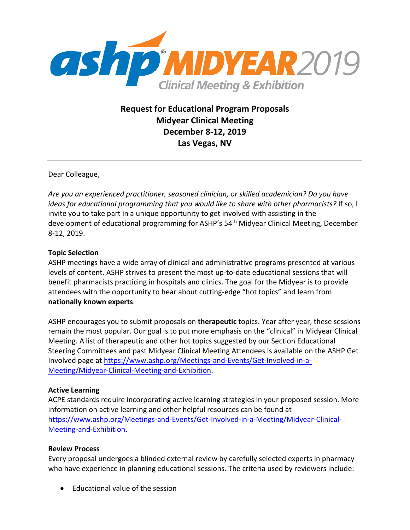

**Request for Educational Program Proposals Midyear Clinical Meeting December 8-12, 2019 Las Vegas, NV**

Dear Colleague,

*Are you an experienced practitioner, seasoned clinician, or skilled academician? Do you have ideas for educational programming that you would like to share with other pharmacists?* If so, I invite you to take part in a unique opportunity to get involved with assisting in the development of educational programming for ASHP's 54th Midyear Clinical Meeting, December 8-12, 2019.

## **Topic Selection**

ASHP meetings have a wide array of clinical and administrative programs presented at various levels of content. ASHP strives to present the most up-to-date educational sessions that will benefit pharmacists practicing in hospitals and clinics. The goal for the Midyear is to provide attendees with the opportunity to hear about cutting-edge "hot topics" and learn from **nationally known experts**.

ASHP encourages you to submit proposals on **therapeutic** topics. Year after year, these sessions remain the most popular. Our goal is to put more emphasis on the "clinical" in Midyear Clinical Meeting. A list of therapeutic and other hot topics suggested by our Section Educational Steering Committees and past Midyear Clinical Meeting Attendees is available on the ASHP Get Involved page at [https://www.ashp.org/Meetings-and-Events/Get-Involved-in-a-](https://www.ashp.org/Meetings-and-Events/Get-Involved-in-a-Meeting/Midyear-Clinical-Meeting-and-Exhibition)[Meeting/Midyear-Clinical-Meeting-and-Exhibition.](https://www.ashp.org/Meetings-and-Events/Get-Involved-in-a-Meeting/Midyear-Clinical-Meeting-and-Exhibition)

## **Active Learning**

ACPE standards require incorporating active learning strategies in your proposed session. More information on active learning and other helpful resources can be found at [https://www.ashp.org/Meetings-and-Events/Get-Involved-in-a-Meeting/Midyear-Clinical-](https://www.ashp.org/Meetings-and-Events/Get-Involved-in-a-Meeting/Midyear-Clinical-Meeting-and-Exhibition)[Meeting-and-Exhibition.](https://www.ashp.org/Meetings-and-Events/Get-Involved-in-a-Meeting/Midyear-Clinical-Meeting-and-Exhibition)

## **Review Process**

Every proposal undergoes a blinded external review by carefully selected experts in pharmacy who have experience in planning educational sessions. The criteria used by reviewers include:

• Educational value of the session